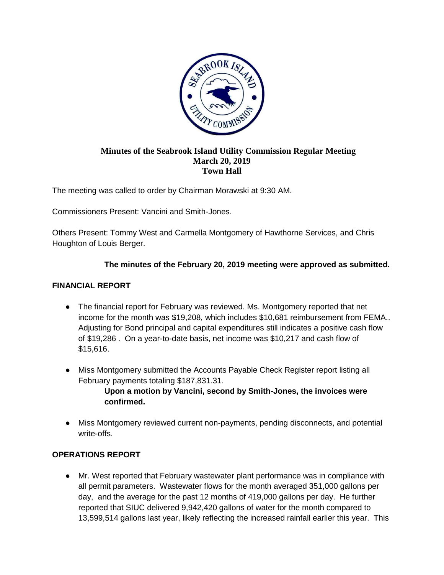

#### **Minutes of the Seabrook Island Utility Commission Regular Meeting March 20, 2019 Town Hall**

The meeting was called to order by Chairman Morawski at 9:30 AM.

Commissioners Present: Vancini and Smith-Jones.

Others Present: Tommy West and Carmella Montgomery of Hawthorne Services, and Chris Houghton of Louis Berger.

## **The minutes of the February 20, 2019 meeting were approved as submitted.**

# **FINANCIAL REPORT**

- The financial report for February was reviewed. Ms. Montgomery reported that net income for the month was \$19,208, which includes \$10,681 reimbursement from FEMA.. Adjusting for Bond principal and capital expenditures still indicates a positive cash flow of \$19,286 . On a year-to-date basis, net income was \$10,217 and cash flow of \$15,616.
- Miss Montgomery submitted the Accounts Payable Check Register report listing all February payments totaling \$187,831.31. **Upon a motion by Vancini, second by Smith-Jones, the invoices were confirmed.**
- Miss Montgomery reviewed current non-payments, pending disconnects, and potential write-offs.

## **OPERATIONS REPORT**

● Mr. West reported that February wastewater plant performance was in compliance with all permit parameters. Wastewater flows for the month averaged 351,000 gallons per day, and the average for the past 12 months of 419,000 gallons per day. He further reported that SIUC delivered 9,942,420 gallons of water for the month compared to 13,599,514 gallons last year, likely reflecting the increased rainfall earlier this year. This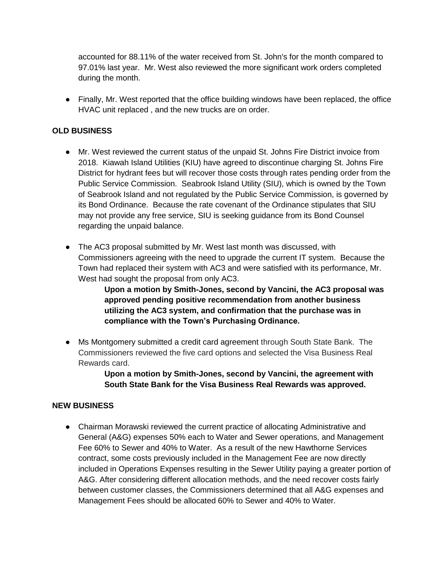accounted for 88.11% of the water received from St. John's for the month compared to 97.01% last year. Mr. West also reviewed the more significant work orders completed during the month.

● Finally, Mr. West reported that the office building windows have been replaced, the office HVAC unit replaced , and the new trucks are on order.

## **OLD BUSINESS**

- Mr. West reviewed the current status of the unpaid St. Johns Fire District invoice from 2018. Kiawah Island Utilities (KIU) have agreed to discontinue charging St. Johns Fire District for hydrant fees but will recover those costs through rates pending order from the Public Service Commission. Seabrook Island Utility (SIU), which is owned by the Town of Seabrook Island and not regulated by the Public Service Commission, is governed by its Bond Ordinance. Because the rate covenant of the Ordinance stipulates that SIU may not provide any free service, SIU is seeking guidance from its Bond Counsel regarding the unpaid balance.
- The AC3 proposal submitted by Mr. West last month was discussed, with Commissioners agreeing with the need to upgrade the current IT system. Because the Town had replaced their system with AC3 and were satisfied with its performance, Mr. West had sought the proposal from only AC3.

**Upon a motion by Smith-Jones, second by Vancini, the AC3 proposal was approved pending positive recommendation from another business utilizing the AC3 system, and confirmation that the purchase was in compliance with the Town's Purchasing Ordinance.**

● Ms Montgomery submitted a credit card agreement through South State Bank. The Commissioners reviewed the five card options and selected the Visa Business Real Rewards card.

> **Upon a motion by Smith-Jones, second by Vancini, the agreement with South State Bank for the Visa Business Real Rewards was approved.**

#### **NEW BUSINESS**

• Chairman Morawski reviewed the current practice of allocating Administrative and General (A&G) expenses 50% each to Water and Sewer operations, and Management Fee 60% to Sewer and 40% to Water. As a result of the new Hawthorne Services contract, some costs previously included in the Management Fee are now directly included in Operations Expenses resulting in the Sewer Utility paying a greater portion of A&G. After considering different allocation methods, and the need recover costs fairly between customer classes, the Commissioners determined that all A&G expenses and Management Fees should be allocated 60% to Sewer and 40% to Water.